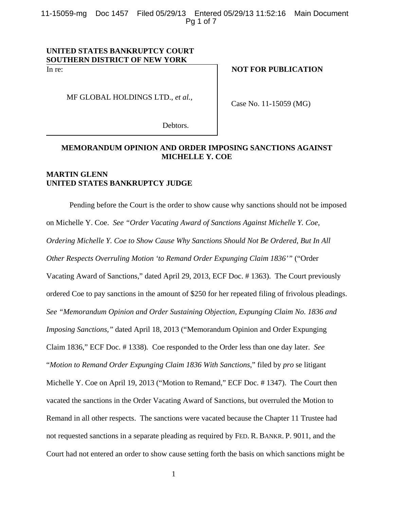11-15059-mg Doc 1457 Filed 05/29/13 Entered 05/29/13 11:52:16 Main Document Pg 1 of 7

# **UNITED STATES BANKRUPTCY COURT SOUTHERN DISTRICT OF NEW YORK**

In re:

MF GLOBAL HOLDINGS LTD., *et al.,* 

**NOT FOR PUBLICATION** 

Case No. 11-15059 (MG)

Debtors.

## **MEMORANDUM OPINION AND ORDER IMPOSING SANCTIONS AGAINST MICHELLE Y. COE**

# **MARTIN GLENN UNITED STATES BANKRUPTCY JUDGE**

Pending before the Court is the order to show cause why sanctions should not be imposed on Michelle Y. Coe. *See "Order Vacating Award of Sanctions Against Michelle Y. Coe, Ordering Michelle Y. Coe to Show Cause Why Sanctions Should Not Be Ordered, But In All Other Respects Overruling Motion 'to Remand Order Expunging Claim 1836'"* ("Order Vacating Award of Sanctions," dated April 29, 2013, ECF Doc. # 1363). The Court previously ordered Coe to pay sanctions in the amount of \$250 for her repeated filing of frivolous pleadings. *See "Memorandum Opinion and Order Sustaining Objection, Expunging Claim No. 1836 and Imposing Sanctions,"* dated April 18, 2013 ("Memorandum Opinion and Order Expunging Claim 1836," ECF Doc. # 1338)*.* Coe responded to the Order less than one day later. *See*  "*Motion to Remand Order Expunging Claim 1836 With Sanctions*," filed by *pro* se litigant Michelle Y. Coe on April 19, 2013 ("Motion to Remand," ECF Doc. # 1347). The Court then vacated the sanctions in the Order Vacating Award of Sanctions, but overruled the Motion to Remand in all other respects. The sanctions were vacated because the Chapter 11 Trustee had not requested sanctions in a separate pleading as required by FED. R. BANKR. P. 9011, and the Court had not entered an order to show cause setting forth the basis on which sanctions might be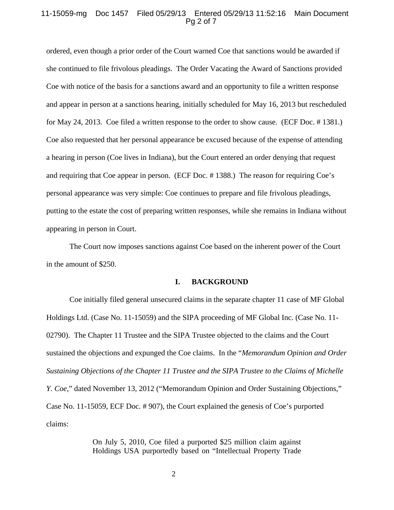#### 11-15059-mg Doc 1457 Filed 05/29/13 Entered 05/29/13 11:52:16 Main Document Pg 2 of 7

ordered, even though a prior order of the Court warned Coe that sanctions would be awarded if she continued to file frivolous pleadings. The Order Vacating the Award of Sanctions provided Coe with notice of the basis for a sanctions award and an opportunity to file a written response and appear in person at a sanctions hearing, initially scheduled for May 16, 2013 but rescheduled for May 24, 2013. Coe filed a written response to the order to show cause. (ECF Doc. # 1381.) Coe also requested that her personal appearance be excused because of the expense of attending a hearing in person (Coe lives in Indiana), but the Court entered an order denying that request and requiring that Coe appear in person. (ECF Doc. # 1388.) The reason for requiring Coe's personal appearance was very simple: Coe continues to prepare and file frivolous pleadings, putting to the estate the cost of preparing written responses, while she remains in Indiana without appearing in person in Court.

The Court now imposes sanctions against Coe based on the inherent power of the Court in the amount of \$250.

### **I. BACKGROUND**

Coe initially filed general unsecured claims in the separate chapter 11 case of MF Global Holdings Ltd. (Case No. 11-15059) and the SIPA proceeding of MF Global Inc. (Case No. 11- 02790). The Chapter 11 Trustee and the SIPA Trustee objected to the claims and the Court sustained the objections and expunged the Coe claims. In the "*Memorandum Opinion and Order Sustaining Objections of the Chapter 11 Trustee and the SIPA Trustee to the Claims of Michelle Y. Coe,*" dated November 13, 2012 ("Memorandum Opinion and Order Sustaining Objections," Case No. 11-15059, ECF Doc. # 907), the Court explained the genesis of Coe's purported claims:

> On July 5, 2010, Coe filed a purported \$25 million claim against Holdings USA purportedly based on "Intellectual Property Trade

> > 2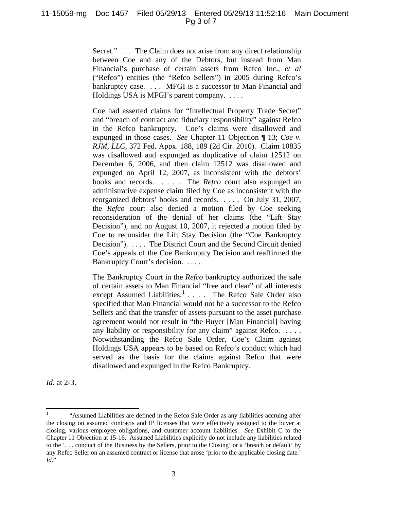Secret." *. . .* The Claim does not arise from any direct relationship between Coe and any of the Debtors, but instead from Man Financial's purchase of certain assets from Refco Inc., *et al* ("Refco") entities (the "Refco Sellers") in 2005 during Refco's bankruptcy case. . . . MFGI is a successor to Man Financial and Holdings USA is MFGI's parent company. . . . .

Coe had asserted claims for "Intellectual Property Trade Secret" and "breach of contract and fiduciary responsibility" against Refco in the Refco bankruptcy. Coe's claims were disallowed and expunged in those cases. *See* Chapter 11 Objection ¶ 13; *Coe v. RJM, LLC*, 372 Fed. Appx. 188, 189 (2d Cir. 2010). Claim 10835 was disallowed and expunged as duplicative of claim 12512 on December 6, 2006, and then claim 12512 was disallowed and expunged on April 12, 2007, as inconsistent with the debtors' books and records. . . . . The *Refco* court also expunged an administrative expense claim filed by Coe as inconsistent with the reorganized debtors' books and records. . . . . On July 31, 2007, the *Refco* court also denied a motion filed by Coe seeking reconsideration of the denial of her claims (the "Lift Stay Decision"), and on August 10, 2007, it rejected a motion filed by Coe to reconsider the Lift Stay Decision (the "Coe Bankruptcy Decision"). .... The District Court and the Second Circuit denied Coe's appeals of the Coe Bankruptcy Decision and reaffirmed the Bankruptcy Court's decision. . . . .

The Bankruptcy Court in the *Refco* bankruptcy authorized the sale of certain assets to Man Financial "free and clear" of all interests except Assumed Liabilities.<sup>1</sup> . . . . The Refco Sale Order also specified that Man Financial would not be a successor to the Refco Sellers and that the transfer of assets pursuant to the asset purchase agreement would not result in "the Buyer [Man Financial] having any liability or responsibility for any claim" against Refco. . . . . Notwithstanding the Refco Sale Order, Coe's Claim against Holdings USA appears to be based on Refco's conduct which had served as the basis for the claims against Refco that were disallowed and expunged in the Refco Bankruptcy.

*Id.* at 2-3.

 1 "Assumed Liabilities are defined in the Refco Sale Order as any liabilities accruing after the closing on assumed contracts and IP licenses that were effectively assigned to the buyer at closing, various employee obligations, and customer account liabilities. *See* Exhibit C to the Chapter 11 Objection at 15-16. Assumed Liabilities explicitly do not include any liabilities related to the '. . . conduct of the Business by the Sellers, prior to the Closing' or a 'breach or default' by any Refco Seller on an assumed contract or license that arose 'prior to the applicable closing date.' *Id*."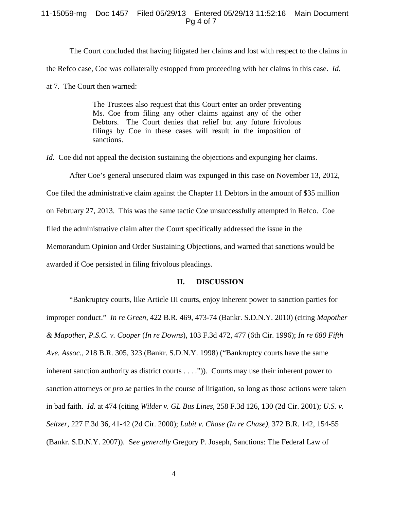#### 11-15059-mg Doc 1457 Filed 05/29/13 Entered 05/29/13 11:52:16 Main Document Pg 4 of 7

The Court concluded that having litigated her claims and lost with respect to the claims in the Refco case, Coe was collaterally estopped from proceeding with her claims in this case. *Id.* at 7. The Court then warned:

> The Trustees also request that this Court enter an order preventing Ms. Coe from filing any other claims against any of the other Debtors. The Court denies that relief but any future frivolous filings by Coe in these cases will result in the imposition of sanctions.

*Id.* Coe did not appeal the decision sustaining the objections and expunging her claims.

After Coe's general unsecured claim was expunged in this case on November 13, 2012,

Coe filed the administrative claim against the Chapter 11 Debtors in the amount of \$35 million

on February 27, 2013. This was the same tactic Coe unsuccessfully attempted in Refco. Coe

filed the administrative claim after the Court specifically addressed the issue in the

Memorandum Opinion and Order Sustaining Objections, and warned that sanctions would be

awarded if Coe persisted in filing frivolous pleadings.

#### **II. DISCUSSION**

"Bankruptcy courts, like Article III courts, enjoy inherent power to sanction parties for improper conduct." *In re Green*, 422 B.R. 469, 473-74 (Bankr. S.D.N.Y. 2010) (citing *Mapother & Mapother, P.S.C. v. Cooper* (*In re Downs*), 103 F.3d 472, 477 (6th Cir. 1996); *In re 680 Fifth Ave. Assoc.,* 218 B.R. 305, 323 (Bankr. S.D.N.Y. 1998) ("Bankruptcy courts have the same inherent sanction authority as district courts . . . .")). Courts may use their inherent power to sanction attorneys or *pro se* parties in the course of litigation, so long as those actions were taken in bad faith. *Id.* at 474 (citing *Wilder v. GL Bus Lines,* 258 F.3d 126, 130 (2d Cir. 2001); *U.S. v. Seltzer,* 227 F.3d 36, 41-42 (2d Cir. 2000); *Lubit v. Chase (In re Chase),* 372 B.R. 142, 154-55 (Bankr. S.D.N.Y. 2007)). S*ee generally* Gregory P. Joseph, Sanctions: The Federal Law of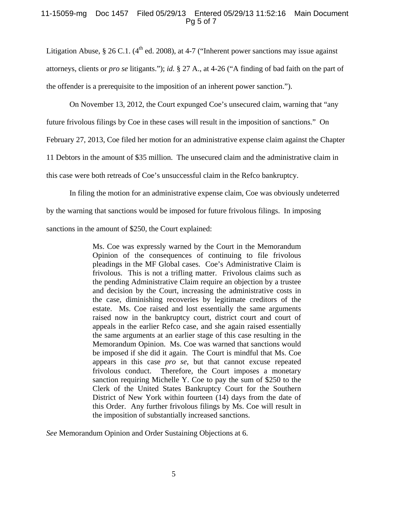### 11-15059-mg Doc 1457 Filed 05/29/13 Entered 05/29/13 11:52:16 Main Document Pg 5 of 7

Litigation Abuse, § 26 C.1.  $(4^{th}$  ed. 2008), at 4-7 ("Inherent power sanctions may issue against attorneys, clients or *pro se* litigants."); *id.* § 27 A., at 4-26 ("A finding of bad faith on the part of the offender is a prerequisite to the imposition of an inherent power sanction.").

On November 13, 2012, the Court expunged Coe's unsecured claim, warning that "any

future frivolous filings by Coe in these cases will result in the imposition of sanctions." On

February 27, 2013, Coe filed her motion for an administrative expense claim against the Chapter

11 Debtors in the amount of \$35 million. The unsecured claim and the administrative claim in

this case were both retreads of Coe's unsuccessful claim in the Refco bankruptcy.

In filing the motion for an administrative expense claim, Coe was obviously undeterred

by the warning that sanctions would be imposed for future frivolous filings. In imposing

sanctions in the amount of \$250, the Court explained:

Ms. Coe was expressly warned by the Court in the Memorandum Opinion of the consequences of continuing to file frivolous pleadings in the MF Global cases. Coe's Administrative Claim is frivolous. This is not a trifling matter. Frivolous claims such as the pending Administrative Claim require an objection by a trustee and decision by the Court, increasing the administrative costs in the case, diminishing recoveries by legitimate creditors of the estate. Ms. Coe raised and lost essentially the same arguments raised now in the bankruptcy court, district court and court of appeals in the earlier Refco case, and she again raised essentially the same arguments at an earlier stage of this case resulting in the Memorandum Opinion. Ms. Coe was warned that sanctions would be imposed if she did it again. The Court is mindful that Ms. Coe appears in this case *pro se*, but that cannot excuse repeated frivolous conduct. Therefore, the Court imposes a monetary sanction requiring Michelle Y. Coe to pay the sum of \$250 to the Clerk of the United States Bankruptcy Court for the Southern District of New York within fourteen (14) days from the date of this Order. Any further frivolous filings by Ms. Coe will result in the imposition of substantially increased sanctions.

*See* Memorandum Opinion and Order Sustaining Objections at 6.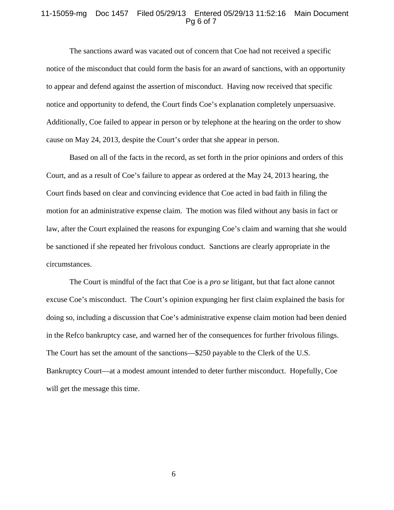#### 11-15059-mg Doc 1457 Filed 05/29/13 Entered 05/29/13 11:52:16 Main Document Pg 6 of 7

The sanctions award was vacated out of concern that Coe had not received a specific notice of the misconduct that could form the basis for an award of sanctions, with an opportunity to appear and defend against the assertion of misconduct. Having now received that specific notice and opportunity to defend, the Court finds Coe's explanation completely unpersuasive. Additionally, Coe failed to appear in person or by telephone at the hearing on the order to show cause on May 24, 2013, despite the Court's order that she appear in person.

Based on all of the facts in the record, as set forth in the prior opinions and orders of this Court, and as a result of Coe's failure to appear as ordered at the May 24, 2013 hearing, the Court finds based on clear and convincing evidence that Coe acted in bad faith in filing the motion for an administrative expense claim. The motion was filed without any basis in fact or law, after the Court explained the reasons for expunging Coe's claim and warning that she would be sanctioned if she repeated her frivolous conduct. Sanctions are clearly appropriate in the circumstances.

The Court is mindful of the fact that Coe is a *pro se* litigant, but that fact alone cannot excuse Coe's misconduct. The Court's opinion expunging her first claim explained the basis for doing so, including a discussion that Coe's administrative expense claim motion had been denied in the Refco bankruptcy case, and warned her of the consequences for further frivolous filings. The Court has set the amount of the sanctions—\$250 payable to the Clerk of the U.S. Bankruptcy Court—at a modest amount intended to deter further misconduct. Hopefully, Coe will get the message this time.

6